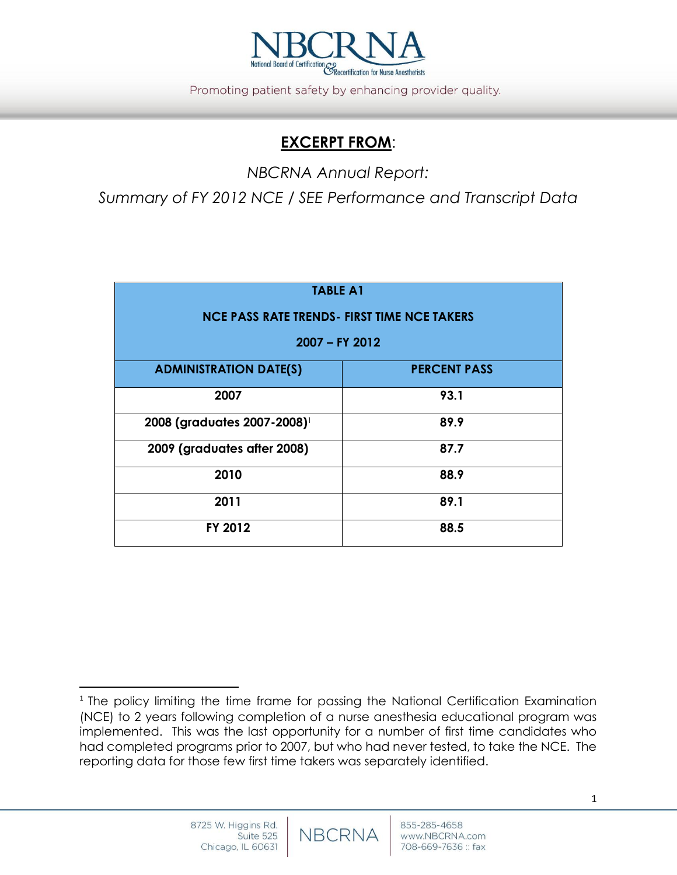

Promoting patient safety by enhancing provider quality.

## **EXCERPT FROM**:

*NBCRNA Annual Report:*

*Summary of FY 2012 NCE / SEE Performance and Transcript Data*

| <b>TABLE A1</b>                                    |                     |  |  |  |  |
|----------------------------------------------------|---------------------|--|--|--|--|
| <b>NCE PASS RATE TRENDS- FIRST TIME NCE TAKERS</b> |                     |  |  |  |  |
| 2007 - FY 2012                                     |                     |  |  |  |  |
| <b>ADMINISTRATION DATE(S)</b>                      | <b>PERCENT PASS</b> |  |  |  |  |
| 2007                                               | 93.1                |  |  |  |  |
| 2008 (graduates 2007-2008)                         | 89.9                |  |  |  |  |
| 2009 (graduates after 2008)                        | 87.7                |  |  |  |  |
| 2010                                               | 88.9                |  |  |  |  |
| 2011                                               | 89.1                |  |  |  |  |
| FY 2012                                            | 88.5                |  |  |  |  |

 $\overline{a}$ 

<sup>&</sup>lt;sup>1</sup> The policy limiting the time frame for passing the National Certification Examination (NCE) to 2 years following completion of a nurse anesthesia educational program was implemented. This was the last opportunity for a number of first time candidates who had completed programs prior to 2007, but who had never tested, to take the NCE. The reporting data for those few first time takers was separately identified.